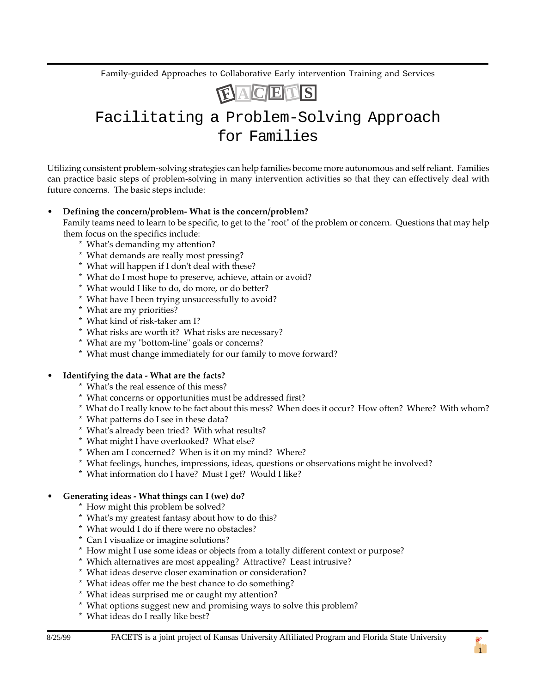Family-guided Approaches to Collaborative Early intervention Training and Services



# Facilitating a Problem-Solving Approach for Families

Utilizing consistent problem-solving strategies can help families become more autonomous and self reliant. Families can practice basic steps of problem-solving in many intervention activities so that they can effectively deal with future concerns. The basic steps include:

### • **Defining the concern/problem- What is the concern/problem?**

Family teams need to learn to be specific, to get to the "root" of the problem or concern. Questions that may help them focus on the specifics include:

- \* What's demanding my attention?
- \* What demands are really most pressing?
- \* What will happen if I don't deal with these?
- \* What do I most hope to preserve, achieve, attain or avoid?
- \* What would I like to do, do more, or do better?
- \* What have I been trying unsuccessfully to avoid?
- \* What are my priorities?
- \* What kind of risk-taker am I?
- \* What risks are worth it? What risks are necessary?
- \* What are my "bottom-line" goals or concerns?
- \* What must change immediately for our family to move forward?

#### • **Identifying the data - What are the facts?**

- \* What's the real essence of this mess?
- \* What concerns or opportunities must be addressed first?
- \* What do I really know to be fact about this mess? When does it occur? How often? Where? With whom?
- \* What patterns do I see in these data?
- \* What's already been tried? With what results?
- \* What might I have overlooked? What else?
- \* When am I concerned? When is it on my mind? Where?
- \* What feelings, hunches, impressions, ideas, questions or observations might be involved?
- \* What information do I have? Must I get? Would I like?

### • **Generating ideas - What things can I (we) do?**

- \* How might this problem be solved?
- \* What's my greatest fantasy about how to do this?
- \* What would I do if there were no obstacles?
- \* Can I visualize or imagine solutions?
- \* How might I use some ideas or objects from a totally different context or purpose?
- \* Which alternatives are most appealing? Attractive? Least intrusive?
- \* What ideas deserve closer examination or consideration?
- \* What ideas offer me the best chance to do something?
- \* What ideas surprised me or caught my attention?
- \* What options suggest new and promising ways to solve this problem?
- \* What ideas do I really like best?